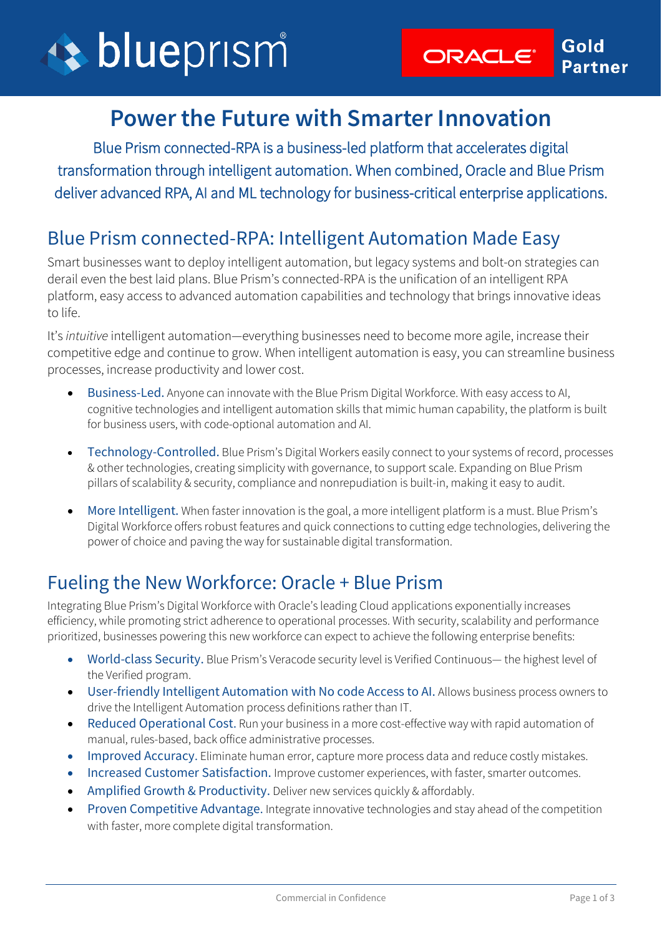

## **Power the Future with Smarter Innovation**

Blue Prism connected-RPA is a business-led platform that accelerates digital transformation through intelligent automation. When combined, Oracle and Blue Prism deliver advanced RPA, AI and ML technology for business-critical enterprise applications.

### Blue Prism connected-RPA: Intelligent Automation Made Easy

Smart businesses want to deploy intelligent automation, but legacy systems and bolt-on strategies can derail even the best laid plans. Blue Prism's connected-RPA is the unification of an intelligent RPA platform, easy access to advanced automation capabilities and technology that brings innovative ideas to life.

It's *intuitive* intelligent automation—everything businesses need to become more agile, increase their competitive edge and continue to grow. When intelligent automation is easy, you can streamline business processes, increase productivity and lower cost.

- Business-Led. Anyone can innovate with the Blue Prism Digital Workforce. With easy access to AI, cognitive technologies and intelligent automation skills that mimic human capability, the platform is built for business users, with code-optional automation and AI.
- Technology-Controlled. Blue Prism's Digital Workers easily connect to your systems of record, processes & other technologies, creating simplicity with governance, to support scale. Expanding on Blue Prism pillars of scalability & security, compliance and nonrepudiation is built-in, making it easy to audit.
- More Intelligent. When faster innovation is the goal, a more intelligent platform is a must. Blue Prism's Digital Workforce offers robust features and quick connections to cutting edge technologies, delivering the power of choice and paving the way for sustainable digital transformation.

## Fueling the New Workforce: Oracle + Blue Prism

Integrating Blue Prism's Digital Workforce with Oracle's leading Cloud applications exponentially increases efficiency, while promoting strict adherence to operational processes. With security, scalability and performance prioritized, businesses powering this new workforce can expect to achieve the following enterprise benefits:

- World-class Security. Blue Prism's Veracode security level is Verified Continuous— the highest level of the Verified program.
- User-friendly Intelligent Automation with No code Access to AI. Allows business process owners to drive the Intelligent Automation process definitions rather than IT.
- Reduced Operational Cost. Run your business in a more cost-effective way with rapid automation of manual, rules-based, back office administrative processes.
- Improved Accuracy. Eliminate human error, capture more process data and reduce costly mistakes.
- Increased Customer Satisfaction. Improve customer experiences, with faster, smarter outcomes.
- Amplified Growth & Productivity. Deliver new services quickly & affordably.
- Proven Competitive Advantage. Integrate innovative technologies and stay ahead of the competition with faster, more complete digital transformation.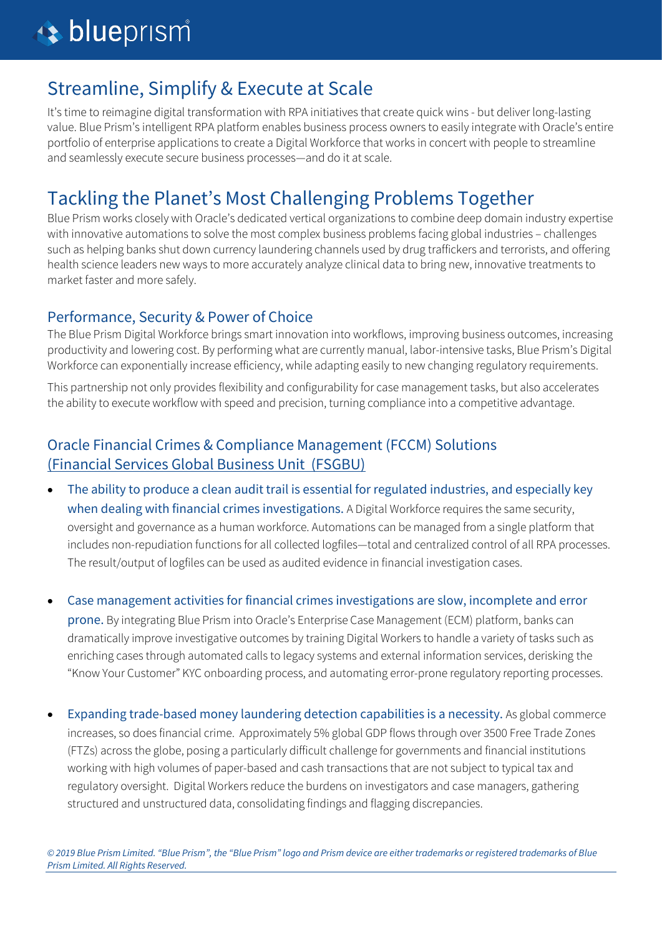## Streamline, Simplify & Execute at Scale

It's time to reimagine digital transformation with RPA initiatives that create quick wins - but deliver long-lasting value. Blue Prism's intelligent RPA platform enables business process owners to easily integrate with Oracle's entire portfolio of enterprise applications to create a Digital Workforce that works in concert with people to streamline and seamlessly execute secure business processes—and do it at scale.

## Tackling the Planet's Most Challenging Problems Together

Blue Prism works closely with Oracle's dedicated vertical organizations to combine deep domain industry expertise with innovative automations to solve the most complex business problems facing global industries – challenges such as helping banks shut down currency laundering channels used by drug traffickers and terrorists, and offering health science leaders new ways to more accurately analyze clinical data to bring new, innovative treatments to market faster and more safely.

#### Performance, Security & Power of Choice

The Blue Prism Digital Workforce brings smart innovation into workflows, improving business outcomes, increasing productivity and lowering cost. By performing what are currently manual, labor-intensive tasks, Blue Prism's Digital Workforce can exponentially increase efficiency, while adapting easily to new changing regulatory requirements.

This partnership not only provides flexibility and configurability for case management tasks, but also accelerates the ability to execute workflow with speed and precision, turning compliance into a competitive advantage.

#### Oracle Financial Crimes & Compliance Management (FCCM) Solutions (Financial Services [Global Business Unit \(FSGBU\)](https://www.oracle.com/industries/financial-services/)

- The ability to produce a clean audit trail is essential for regulated industries, and especially key when dealing with financial crimes investigations. A Digital Workforce requires the same security, oversight and governance as a human workforce. Automations can be managed from a single platform that includes non-repudiation functions for all collected logfiles—total and centralized control of all RPA processes. The result/output of logfiles can be used as audited evidence in financial investigation cases.
- Case management activities for financial crimes investigations are slow, incomplete and error

prone. By integrating Blue Prism into Oracle's Enterprise Case Management (ECM) platform, banks can dramatically improve investigative outcomes by training Digital Workers to handle a variety of tasks such as enriching cases through automated calls to legacy systems and external information services, derisking the "Know Your Customer" KYC onboarding process, and automating error-prone regulatory reporting processes.

• Expanding trade-based money laundering detection capabilities is a necessity. As global commerce increases, so does financial crime. Approximately 5% global GDP flows through over 3500 Free Trade Zones (FTZs) across the globe, posing a particularly difficult challenge for governments and financial institutions working with high volumes of paper-based and cash transactions that are not subject to typical tax and regulatory oversight. Digital Workers reduce the burdens on investigators and case managers, gathering structured and unstructured data, consolidating findings and flagging discrepancies.

*© 2019 Blue Prism Limited. "Blue Prism", the "Blue Prism" logo and Prism device are either trademarks or registered trademarks of Blue Prism Limited. All Rights Reserved.*